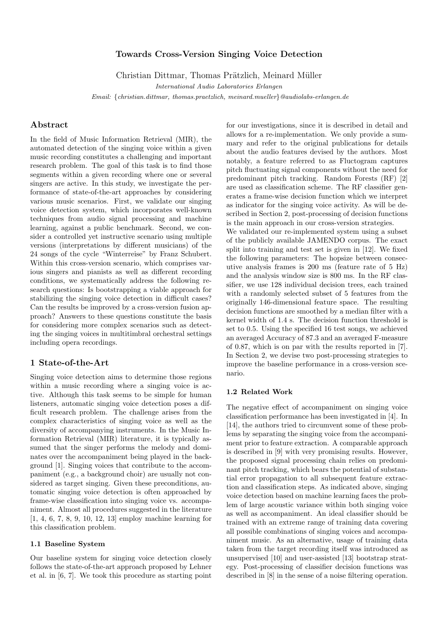## Towards Cross-Version Singing Voice Detection

Christian Dittmar, Thomas Prätzlich, Meinard Müller

International Audio Laboratories Erlangen

Email: {christian.dittmar, thomas.praetzlich, meinard.mueller}@audiolabs-erlangen.de

# Abstract

In the field of Music Information Retrieval (MIR), the automated detection of the singing voice within a given music recording constitutes a challenging and important research problem. The goal of this task is to find those segments within a given recording where one or several singers are active. In this study, we investigate the performance of state-of-the-art approaches by considering various music scenarios. First, we validate our singing voice detection system, which incorporates well-known techniques from audio signal processing and machine learning, against a public benchmark. Second, we consider a controlled yet instructive scenario using multiple versions (interpretations by different musicians) of the 24 songs of the cycle "Winterreise" by Franz Schubert. Within this cross-version scenario, which comprises various singers and pianists as well as different recording conditions, we systematically address the following research questions: Is bootstrapping a viable approach for stabilizing the singing voice detection in difficult cases? Can the results be improved by a cross-version fusion approach? Answers to these questions constitute the basis for considering more complex scenarios such as detecting the singing voices in multitimbral orchestral settings including opera recordings.

## 1 State-of-the-Art

Singing voice detection aims to determine those regions within a music recording where a singing voice is active. Although this task seems to be simple for human listeners, automatic singing voice detection poses a difficult research problem. The challenge arises from the complex characteristics of singing voice as well as the diversity of accompanying instruments. In the Music Information Retrieval (MIR) literature, it is typically assumed that the singer performs the melody and dominates over the accompaniment being played in the background [1]. Singing voices that contribute to the accompaniment (e.g., a background choir) are usually not considered as target singing. Given these preconditions, automatic singing voice detection is often approached by frame-wise classification into singing voice vs. accompaniment. Almost all procedures suggested in the literature [1, 4, 6, 7, 8, 9, 10, 12, 13] employ machine learning for this classification problem.

## 1.1 Baseline System

Our baseline system for singing voice detection closely follows the state-of-the-art approach proposed by Lehner et al. in [6, 7]. We took this procedure as starting point for our investigations, since it is described in detail and allows for a re-implementation. We only provide a summary and refer to the original publications for details about the audio features devised by the authors. Most notably, a feature referred to as Fluctogram captures pitch fluctuating signal components without the need for predominant pitch tracking. Random Forests (RF) [2] are used as classification scheme. The RF classifier generates a frame-wise decision function which we interpret as indicator for the singing voice activity. As will be described in Section 2, post-processing of decision functions is the main approach in our cross-version strategies.

We validated our re-implemented system using a subset of the publicly available JAMENDO corpus. The exact split into training and test set is given in [12]. We fixed the following parameters: The hopsize between consecutive analysis frames is 200 ms (feature rate of 5 Hz) and the analysis window size is 800 ms. In the RF classifier, we use 128 individual decision trees, each trained with a randomly selected subset of 5 features from the originally 146-dimensional feature space. The resulting decision functions are smoothed by a median filter with a kernel width of 1.4 s. The decision function threshold is set to 0.5. Using the specified 16 test songs, we achieved an averaged Accuracy of 87.3 and an averaged F-measure of 0.87, which is on par with the results reported in [7]. In Section 2, we devise two post-processing strategies to improve the baseline performance in a cross-version scenario.

#### 1.2 Related Work

The negative effect of accompaniment on singing voice classification performance has been investigated in [4]. In [14], the authors tried to circumvent some of these problems by separating the singing voice from the accompaniment prior to feature extraction. A comparable approach is described in [9] with very promising results. However, the proposed signal processing chain relies on predominant pitch tracking, which bears the potential of substantial error propagation to all subsequent feature extraction and classification steps. As indicated above, singing voice detection based on machine learning faces the problem of large acoustic variance within both singing voice as well as accompaniment. An ideal classifier should be trained with an extreme range of training data covering all possible combinations of singing voices and accompaniment music. As an alternative, usage of training data taken from the target recording itself was introduced as unsupervised [10] and user-assisted [13] bootstrap strategy. Post-processing of classifier decision functions was described in [8] in the sense of a noise filtering operation.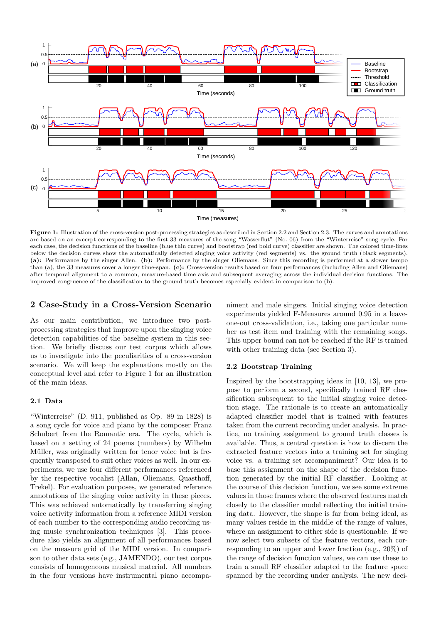

Figure 1: Illustration of the cross-version post-processing strategies as described in Section 2.2 and Section 2.3. The curves and annotations are based on an excerpt corresponding to the first 33 measures of the song "Wasserflut" (No. 06) from the "Winterreise" song cycle. For each case, the decision functions of the baseline (blue thin curve) and bootstrap (red bold curve) classifier are shown. The colored time-lines below the decision curves show the automatically detected singing voice activity (red segments) vs. the ground truth (black segments). (a): Performance by the singer Allen. (b): Performance by the singer Oliemans. Since this recording is performed at a slower tempo than (a), the 33 measures cover a longer time-span. (c): Cross-version results based on four performances (including Allen and Oliemans) after temporal alignment to a common, measure-based time axis and subsequent averaging across the individual decision functions. The improved congruence of the classification to the ground truth becomes especially evident in comparison to (b).

# 2 Case-Study in a Cross-Version Scenario

As our main contribution, we introduce two postprocessing strategies that improve upon the singing voice detection capabilities of the baseline system in this section. We briefly discuss our test corpus which allows us to investigate into the peculiarities of a cross-version scenario. We will keep the explanations mostly on the conceptual level and refer to Figure 1 for an illustration of the main ideas.

### 2.1 Data

"Winterreise" (D. 911, published as Op. 89 in 1828) is a song cycle for voice and piano by the composer Franz Schubert from the Romantic era. The cycle, which is based on a setting of 24 poems (numbers) by Wilhelm Müller, was originally written for tenor voice but is frequently transposed to suit other voices as well. In our experiments, we use four different performances referenced by the respective vocalist (Allan, Oliemans, Quasthoff, Trekel). For evaluation purposes, we generated reference annotations of the singing voice activity in these pieces. This was achieved automatically by transferring singing voice activity information from a reference MIDI version of each number to the corresponding audio recording using music synchronization techniques [3]. This procedure also yields an alignment of all performances based on the measure grid of the MIDI version. In comparison to other data sets (e.g., JAMENDO), our test corpus consists of homogeneous musical material. All numbers in the four versions have instrumental piano accompaniment and male singers. Initial singing voice detection experiments yielded F-Measures around 0.95 in a leaveone-out cross-validation, i.e., taking one particular number as test item and training with the remaining songs. This upper bound can not be reached if the RF is trained with other training data (see Section 3).

#### 2.2 Bootstrap Training

Inspired by the bootstrapping ideas in [10, 13], we propose to perform a second, specifically trained RF classification subsequent to the initial singing voice detection stage. The rationale is to create an automatically adapted classifier model that is trained with features taken from the current recording under analysis. In practice, no training assignment to ground truth classes is available. Thus, a central question is how to discern the extracted feature vectors into a training set for singing voice vs. a training set accompaniment? Our idea is to base this assignment on the shape of the decision function generated by the initial RF classifier. Looking at the course of this decision function, we see some extreme values in those frames where the observed features match closely to the classifier model reflecting the initial training data. However, the shape is far from being ideal, as many values reside in the middle of the range of values, where an assignment to either side is questionable. If we now select two subsets of the feature vectors, each corresponding to an upper and lower fraction (e.g., 20%) of the range of decision function values, we can use these to train a small RF classifier adapted to the feature space spanned by the recording under analysis. The new deci-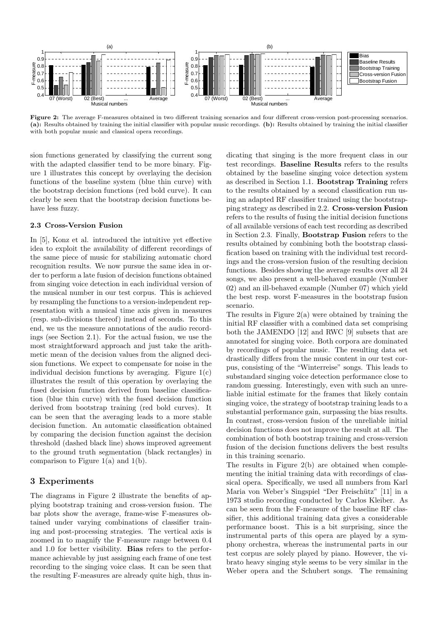

Figure 2: The average F-measures obtained in two different training scenarios and four different cross-version post-processing scenarios. (a): Results obtained by training the initial classifier with popular music recordings. (b): Results obtained by training the initial classifier with both popular music and classical opera recordings.

sion functions generated by classifying the current song with the adapted classifier tend to be more binary. Figure 1 illustrates this concept by overlaying the decision functions of the baseline system (blue thin curve) with the bootstrap decision functions (red bold curve). It can clearly be seen that the bootstrap decision functions behave less fuzzy.

#### 2.3 Cross-Version Fusion

In [5], Konz et al. introduced the intuitive yet effective idea to exploit the availability of different recordings of the same piece of music for stabilizing automatic chord recognition results. We now pursue the same idea in order to perform a late fusion of decision functions obtained from singing voice detection in each individual version of the musical number in our test corpus. This is achieved by resampling the functions to a version-independent representation with a musical time axis given in measures (resp. sub-divisions thereof) instead of seconds. To this end, we us the measure annotations of the audio recordings (see Section 2.1). For the actual fusion, we use the most straightforward approach and just take the arithmetic mean of the decision values from the aligned decision functions. We expect to compensate for noise in the individual decision functions by averaging. Figure  $1(c)$ illustrates the result of this operation by overlaying the fused decision function derived from baseline classification (blue thin curve) with the fused decision function derived from bootstrap training (red bold curves). It can be seen that the averaging leads to a more stable decision function. An automatic classification obtained by comparing the decision function against the decision threshold (dashed black line) shows improved agreement to the ground truth segmentation (black rectangles) in comparison to Figure 1(a) and 1(b).

### 3 Experiments

The diagrams in Figure 2 illustrate the benefits of applying bootstrap training and cross-version fusion. The bar plots show the average, frame-wise F-measures obtained under varying combinations of classifier training and post-processing strategies. The vertical axis is zoomed in to magnify the F-measure range between 0.4 and 1.0 for better visibility. Bias refers to the performance achievable by just assigning each frame of one test recording to the singing voice class. It can be seen that the resulting F-measures are already quite high, thus indicating that singing is the more frequent class in our test recordings. Baseline Results refers to the results obtained by the baseline singing voice detection system as described in Section 1.1. Bootstrap Training refers to the results obtained by a second classification run using an adapted RF classifier trained using the bootstrapping strategy as described in 2.2. Cross-version Fusion refers to the results of fusing the initial decision functions of all available versions of each test recording as described in Section 2.3. Finally, Bootstrap Fusion refers to the results obtained by combining both the bootstrap classification based on training with the individual test recordings and the cross-version fusion of the resulting decision functions. Besides showing the average results over all 24 songs, we also present a well-behaved example (Number 02) and an ill-behaved example (Number 07) which yield the best resp. worst F-measures in the bootstrap fusion scenario.

The results in Figure 2(a) were obtained by training the initial RF classifier with a combined data set comprising both the JAMENDO [12] and RWC [9] subsets that are annotated for singing voice. Both corpora are dominated by recordings of popular music. The resulting data set drastically differs from the music content in our test corpus, consisting of the "Winterreise" songs. This leads to substandard singing voice detection performance close to random guessing. Interestingly, even with such an unreliable initial estimate for the frames that likely contain singing voice, the strategy of bootstrap training leads to a substantial performance gain, surpassing the bias results. In contrast, cross-version fusion of the unreliable initial decision functions does not improve the result at all. The combination of both bootstrap training and cross-version fusion of the decision functions delivers the best results in this training scenario.

The results in Figure 2(b) are obtained when complementing the initial training data with recordings of classical opera. Specifically, we used all numbers from Karl Maria von Weber's Singspiel "Der Freischütz" [11] in a 1973 studio recording conducted by Carlos Kleiber. As can be seen from the F-measure of the baseline RF classifier, this additional training data gives a considerable performance boost. This is a bit surprising, since the instrumental parts of this opera are played by a symphony orchestra, whereas the instrumental parts in our test corpus are solely played by piano. However, the vibrato heavy singing style seems to be very similar in the Weber opera and the Schubert songs. The remaining